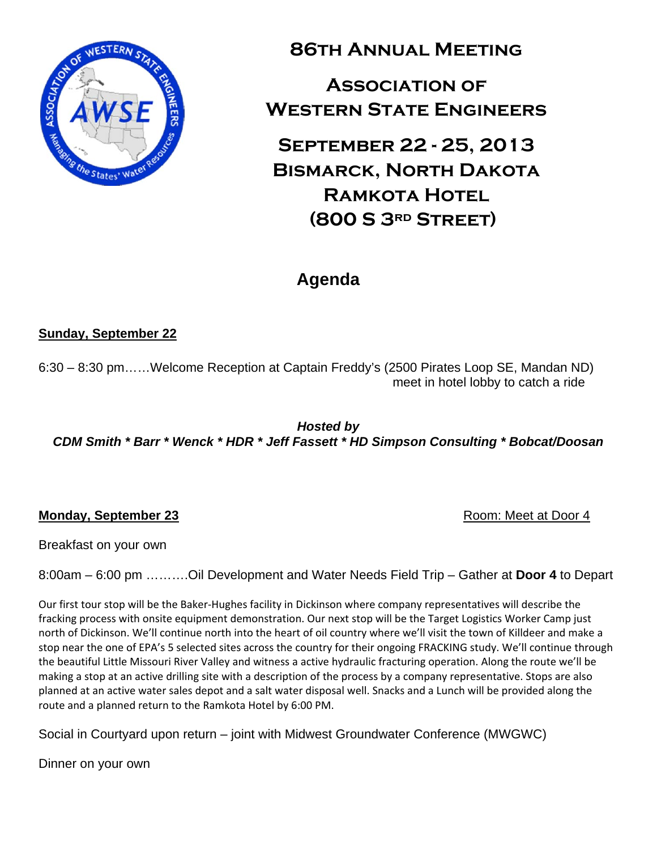

**86th Annual Meeting** 

**Association of Western State Engineers** 

**September 22 - 25, 2013 Bismarck, North Dakota Ramkota Hotel (800 S 3rd Street)** 

## **Agenda**

## **Sunday, September 22**

6:30 – 8:30 pm……Welcome Reception at Captain Freddy's (2500 Pirates Loop SE, Mandan ND) meet in hotel lobby to catch a ride

*Hosted by CDM Smith \* Barr \* Wenck \* HDR \* Jeff Fassett \* HD Simpson Consulting \* Bobcat/Doosan* 

## **Monday, September 23 Room: Meet at Door 4 Room: Meet at Door 4**

Breakfast on your own

8:00am – 6:00 pm ……….Oil Development and Water Needs Field Trip – Gather at **Door 4** to Depart

Our first tour stop will be the Baker‐Hughes facility in Dickinson where company representatives will describe the fracking process with onsite equipment demonstration. Our next stop will be the Target Logistics Worker Camp just north of Dickinson. We'll continue north into the heart of oil country where we'll visit the town of Killdeer and make a stop near the one of EPA's 5 selected sites across the country for their ongoing FRACKING study. We'll continue through the beautiful Little Missouri River Valley and witness a active hydraulic fracturing operation. Along the route we'll be making a stop at an active drilling site with a description of the process by a company representative. Stops are also planned at an active water sales depot and a salt water disposal well. Snacks and a Lunch will be provided along the route and a planned return to the Ramkota Hotel by 6:00 PM.

Social in Courtyard upon return – joint with Midwest Groundwater Conference (MWGWC)

Dinner on your own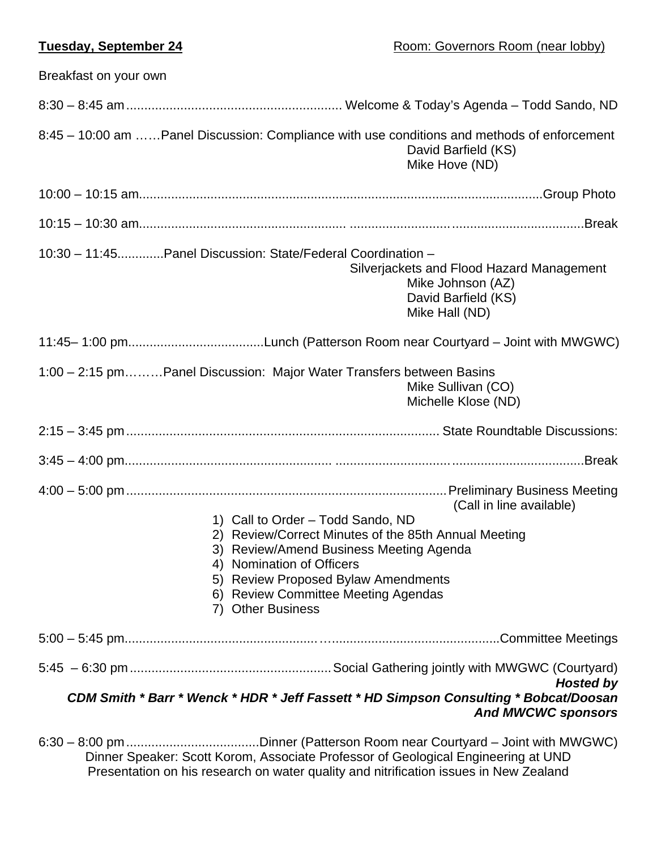| Breakfast on your own                                                                                                                                                                                                                                                |                                                                                                         |
|----------------------------------------------------------------------------------------------------------------------------------------------------------------------------------------------------------------------------------------------------------------------|---------------------------------------------------------------------------------------------------------|
|                                                                                                                                                                                                                                                                      |                                                                                                         |
| 8:45 - 10:00 am  Panel Discussion: Compliance with use conditions and methods of enforcement                                                                                                                                                                         | David Barfield (KS)<br>Mike Hove (ND)                                                                   |
|                                                                                                                                                                                                                                                                      |                                                                                                         |
|                                                                                                                                                                                                                                                                      |                                                                                                         |
| 10:30 - 11:45Panel Discussion: State/Federal Coordination -                                                                                                                                                                                                          | Silverjackets and Flood Hazard Management<br>Mike Johnson (AZ)<br>David Barfield (KS)<br>Mike Hall (ND) |
|                                                                                                                                                                                                                                                                      |                                                                                                         |
| 1:00 - 2:15 pmPanel Discussion: Major Water Transfers between Basins                                                                                                                                                                                                 | Mike Sullivan (CO)<br>Michelle Klose (ND)                                                               |
|                                                                                                                                                                                                                                                                      |                                                                                                         |
|                                                                                                                                                                                                                                                                      |                                                                                                         |
| 1) Call to Order - Todd Sando, ND<br>2) Review/Correct Minutes of the 85th Annual Meeting<br>3) Review/Amend Business Meeting Agenda<br>4) Nomination of Officers<br>5) Review Proposed Bylaw Amendments<br>6) Review Committee Meeting Agendas<br>7) Other Business | (Call in line available)                                                                                |
|                                                                                                                                                                                                                                                                      |                                                                                                         |
| CDM Smith * Barr * Wenck * HDR * Jeff Fassett * HD Simpson Consulting * Bobcat/Doosan                                                                                                                                                                                | <b>Hosted by</b><br><b>And MWCWC sponsors</b>                                                           |
| $0.20$ $0.00 \text{ ms}$                                                                                                                                                                                                                                             | $Dipner(Dethorcon Poora noorCouth and Loint with MULOMO)$                                               |

6:30 – 8:00 pm .....................................Dinner (Patterson Room near Courtyard – Joint with MWGWC) Dinner Speaker: Scott Korom, Associate Professor of Geological Engineering at UND Presentation on his research on water quality and nitrification issues in New Zealand